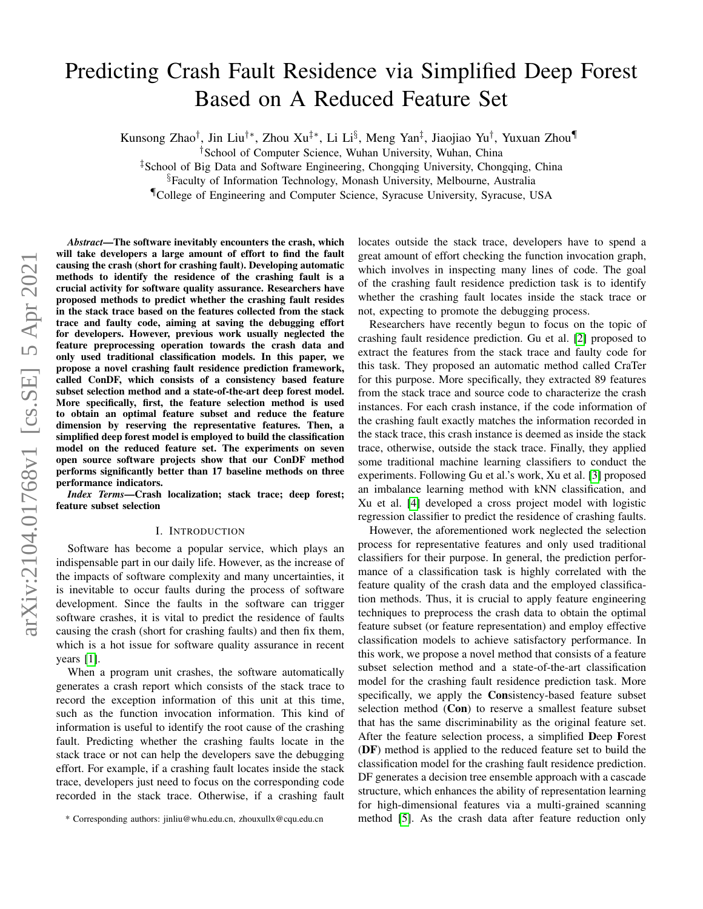# Predicting Crash Fault Residence via Simplified Deep Forest Based on A Reduced Feature Set

Kunsong Zhao†, Jin Liu†\*, Zhou Xu‡\*, Li Li§, Meng Yan‡, Jiaojiao Yu†, Yuxuan Zhou¶

†School of Computer Science, Wuhan University, Wuhan, China

‡School of Big Data and Software Engineering, Chongqing University, Chongqing, China

§Faculty of Information Technology, Monash University, Melbourne, Australia

¶College of Engineering and Computer Science, Syracuse University, Syracuse, USA

*Abstract*—The software inevitably encounters the crash, which will take developers a large amount of effort to find the fault causing the crash (short for crashing fault). Developing automatic methods to identify the residence of the crashing fault is a crucial activity for software quality assurance. Researchers have proposed methods to predict whether the crashing fault resides in the stack trace based on the features collected from the stack trace and faulty code, aiming at saving the debugging effort for developers. However, previous work usually neglected the feature preprocessing operation towards the crash data and only used traditional classification models. In this paper, we propose a novel crashing fault residence prediction framework, called ConDF, which consists of a consistency based feature subset selection method and a state-of-the-art deep forest model. More specifically, first, the feature selection method is used to obtain an optimal feature subset and reduce the feature dimension by reserving the representative features. Then, a simplified deep forest model is employed to build the classification model on the reduced feature set. The experiments on seven open source software projects show that our ConDF method performs significantly better than 17 baseline methods on three performance indicators. *Index Terms*—Crash localization; stack trace; deep forest; feature subset selection

# I. INTRODUCTION

Software has become a popular service, which plays an indispensable part in our daily life. However, as the increase of the impacts of software complexity and many uncertainties, it is inevitable to occur faults during the process of software development. Since the faults in the software can trigger software crashes, it is vital to predict the residence of faults causing the crash (short for crashing faults) and then fix them, which is a hot issue for software quality assurance in recent years [\[1\]](#page-10-0).

When a program unit crashes, the software automatically generates a crash report which consists of the stack trace to record the exception information of this unit at this time, such as the function invocation information. This kind of information is useful to identify the root cause of the crashing fault. Predicting whether the crashing faults locate in the stack trace or not can help the developers save the debugging effort. For example, if a crashing fault locates inside the stack trace, developers just need to focus on the corresponding code recorded in the stack trace. Otherwise, if a crashing fault locates outside the stack trace, developers have to spend a great amount of effort checking the function invocation graph, which involves in inspecting many lines of code. The goal of the crashing fault residence prediction task is to identify whether the crashing fault locates inside the stack trace or not, expecting to promote the debugging process.

Researchers have recently begun to focus on the topic of crashing fault residence prediction. Gu et al. [\[2\]](#page-10-1) proposed to extract the features from the stack trace and faulty code for this task. They proposed an automatic method called CraTer for this purpose. More specifically, they extracted 89 features from the stack trace and source code to characterize the crash instances. For each crash instance, if the code information of the crashing fault exactly matches the information recorded in the stack trace, this crash instance is deemed as inside the stack trace, otherwise, outside the stack trace. Finally, they applied some traditional machine learning classifiers to conduct the experiments. Following Gu et al.'s work, Xu et al. [\[3\]](#page-10-2) proposed an imbalance learning method with kNN classification, and Xu et al. [\[4\]](#page-10-3) developed a cross project model with logistic regression classifier to predict the residence of crashing faults.

However, the aforementioned work neglected the selection process for representative features and only used traditional classifiers for their purpose. In general, the prediction performance of a classification task is highly correlated with the feature quality of the crash data and the employed classification methods. Thus, it is crucial to apply feature engineering techniques to preprocess the crash data to obtain the optimal feature subset (or feature representation) and employ effective classification models to achieve satisfactory performance. In this work, we propose a novel method that consists of a feature subset selection method and a state-of-the-art classification model for the crashing fault residence prediction task. More specifically, we apply the Consistency-based feature subset selection method (Con) to reserve a smallest feature subset that has the same discriminability as the original feature set. After the feature selection process, a simplified Deep Forest (DF) method is applied to the reduced feature set to build the classification model for the crashing fault residence prediction. DF generates a decision tree ensemble approach with a cascade structure, which enhances the ability of representation learning for high-dimensional features via a multi-grained scanning method [\[5\]](#page-10-4). As the crash data after feature reduction only

<sup>\*</sup> Corresponding authors: jinliu@whu.edu.cn, zhouxullx@cqu.edu.cn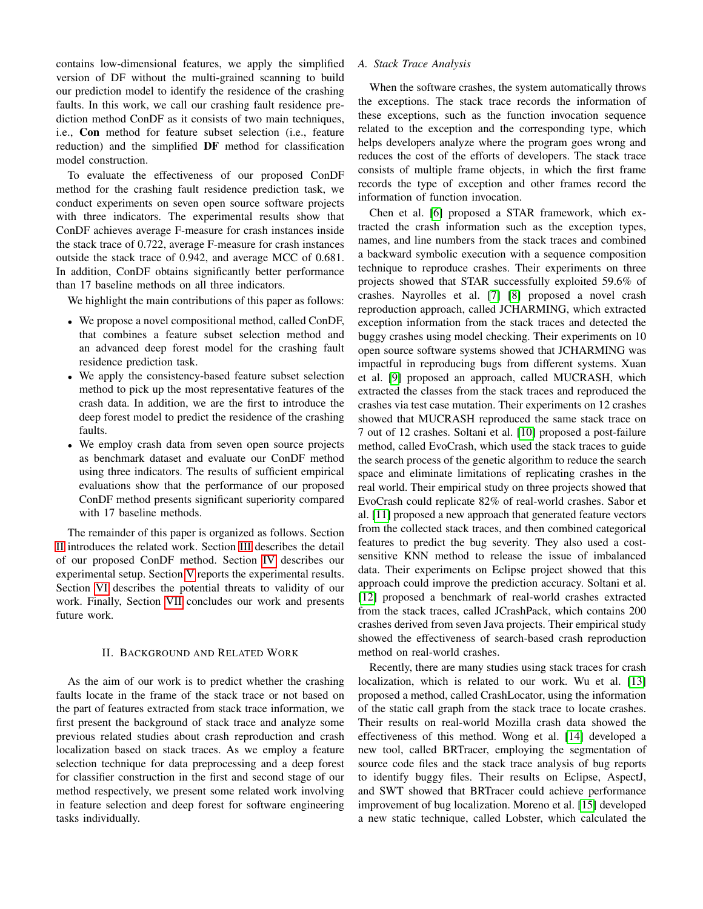contains low-dimensional features, we apply the simplified version of DF without the multi-grained scanning to build our prediction model to identify the residence of the crashing faults. In this work, we call our crashing fault residence prediction method ConDF as it consists of two main techniques, i.e., Con method for feature subset selection (i.e., feature reduction) and the simplified DF method for classification model construction.

To evaluate the effectiveness of our proposed ConDF method for the crashing fault residence prediction task, we conduct experiments on seven open source software projects with three indicators. The experimental results show that ConDF achieves average F-measure for crash instances inside the stack trace of 0.722, average F-measure for crash instances outside the stack trace of 0.942, and average MCC of 0.681. In addition, ConDF obtains significantly better performance than 17 baseline methods on all three indicators.

We highlight the main contributions of this paper as follows:

- We propose a novel compositional method, called ConDF, that combines a feature subset selection method and an advanced deep forest model for the crashing fault residence prediction task.
- We apply the consistency-based feature subset selection method to pick up the most representative features of the crash data. In addition, we are the first to introduce the deep forest model to predict the residence of the crashing faults.
- We employ crash data from seven open source projects as benchmark dataset and evaluate our ConDF method using three indicators. The results of sufficient empirical evaluations show that the performance of our proposed ConDF method presents significant superiority compared with 17 baseline methods.

The remainder of this paper is organized as follows. Section [II](#page-1-0) introduces the related work. Section [III](#page-3-0) describes the detail of our proposed ConDF method. Section [IV](#page-3-1) describes our experimental setup. Section [V](#page-6-0) reports the experimental results. Section [VI](#page-9-0) describes the potential threats to validity of our work. Finally, Section [VII](#page-9-1) concludes our work and presents future work.

#### II. BACKGROUND AND RELATED WORK

<span id="page-1-0"></span>As the aim of our work is to predict whether the crashing faults locate in the frame of the stack trace or not based on the part of features extracted from stack trace information, we first present the background of stack trace and analyze some previous related studies about crash reproduction and crash localization based on stack traces. As we employ a feature selection technique for data preprocessing and a deep forest for classifier construction in the first and second stage of our method respectively, we present some related work involving in feature selection and deep forest for software engineering tasks individually.

# *A. Stack Trace Analysis*

When the software crashes, the system automatically throws the exceptions. The stack trace records the information of these exceptions, such as the function invocation sequence related to the exception and the corresponding type, which helps developers analyze where the program goes wrong and reduces the cost of the efforts of developers. The stack trace consists of multiple frame objects, in which the first frame records the type of exception and other frames record the information of function invocation.

Chen et al. [\[6\]](#page-10-5) proposed a STAR framework, which extracted the crash information such as the exception types, names, and line numbers from the stack traces and combined a backward symbolic execution with a sequence composition technique to reproduce crashes. Their experiments on three projects showed that STAR successfully exploited 59.6% of crashes. Nayrolles et al. [\[7\]](#page-10-6) [\[8\]](#page-10-7) proposed a novel crash reproduction approach, called JCHARMING, which extracted exception information from the stack traces and detected the buggy crashes using model checking. Their experiments on 10 open source software systems showed that JCHARMING was impactful in reproducing bugs from different systems. Xuan et al. [\[9\]](#page-10-8) proposed an approach, called MUCRASH, which extracted the classes from the stack traces and reproduced the crashes via test case mutation. Their experiments on 12 crashes showed that MUCRASH reproduced the same stack trace on 7 out of 12 crashes. Soltani et al. [\[10\]](#page-10-9) proposed a post-failure method, called EvoCrash, which used the stack traces to guide the search process of the genetic algorithm to reduce the search space and eliminate limitations of replicating crashes in the real world. Their empirical study on three projects showed that EvoCrash could replicate 82% of real-world crashes. Sabor et al. [\[11\]](#page-10-10) proposed a new approach that generated feature vectors from the collected stack traces, and then combined categorical features to predict the bug severity. They also used a costsensitive KNN method to release the issue of imbalanced data. Their experiments on Eclipse project showed that this approach could improve the prediction accuracy. Soltani et al. [\[12\]](#page-10-11) proposed a benchmark of real-world crashes extracted from the stack traces, called JCrashPack, which contains 200 crashes derived from seven Java projects. Their empirical study showed the effectiveness of search-based crash reproduction method on real-world crashes.

Recently, there are many studies using stack traces for crash localization, which is related to our work. Wu et al. [\[13\]](#page-10-12) proposed a method, called CrashLocator, using the information of the static call graph from the stack trace to locate crashes. Their results on real-world Mozilla crash data showed the effectiveness of this method. Wong et al. [\[14\]](#page-10-13) developed a new tool, called BRTracer, employing the segmentation of source code files and the stack trace analysis of bug reports to identify buggy files. Their results on Eclipse, AspectJ, and SWT showed that BRTracer could achieve performance improvement of bug localization. Moreno et al. [\[15\]](#page-10-14) developed a new static technique, called Lobster, which calculated the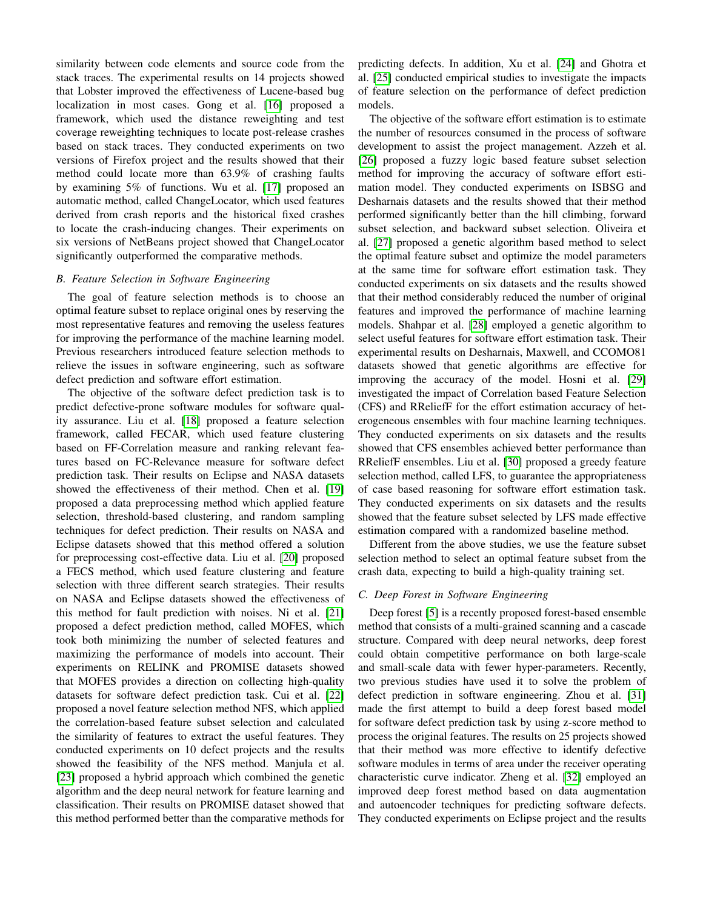similarity between code elements and source code from the stack traces. The experimental results on 14 projects showed that Lobster improved the effectiveness of Lucene-based bug localization in most cases. Gong et al. [\[16\]](#page-10-15) proposed a framework, which used the distance reweighting and test coverage reweighting techniques to locate post-release crashes based on stack traces. They conducted experiments on two versions of Firefox project and the results showed that their method could locate more than 63.9% of crashing faults by examining 5% of functions. Wu et al. [\[17\]](#page-10-16) proposed an automatic method, called ChangeLocator, which used features derived from crash reports and the historical fixed crashes to locate the crash-inducing changes. Their experiments on six versions of NetBeans project showed that ChangeLocator significantly outperformed the comparative methods.

# *B. Feature Selection in Software Engineering*

The goal of feature selection methods is to choose an optimal feature subset to replace original ones by reserving the most representative features and removing the useless features for improving the performance of the machine learning model. Previous researchers introduced feature selection methods to relieve the issues in software engineering, such as software defect prediction and software effort estimation.

The objective of the software defect prediction task is to predict defective-prone software modules for software quality assurance. Liu et al. [\[18\]](#page-10-17) proposed a feature selection framework, called FECAR, which used feature clustering based on FF-Correlation measure and ranking relevant features based on FC-Relevance measure for software defect prediction task. Their results on Eclipse and NASA datasets showed the effectiveness of their method. Chen et al. [\[19\]](#page-10-18) proposed a data preprocessing method which applied feature selection, threshold-based clustering, and random sampling techniques for defect prediction. Their results on NASA and Eclipse datasets showed that this method offered a solution for preprocessing cost-effective data. Liu et al. [\[20\]](#page-10-19) proposed a FECS method, which used feature clustering and feature selection with three different search strategies. Their results on NASA and Eclipse datasets showed the effectiveness of this method for fault prediction with noises. Ni et al. [\[21\]](#page-10-20) proposed a defect prediction method, called MOFES, which took both minimizing the number of selected features and maximizing the performance of models into account. Their experiments on RELINK and PROMISE datasets showed that MOFES provides a direction on collecting high-quality datasets for software defect prediction task. Cui et al. [\[22\]](#page-10-21) proposed a novel feature selection method NFS, which applied the correlation-based feature subset selection and calculated the similarity of features to extract the useful features. They conducted experiments on 10 defect projects and the results showed the feasibility of the NFS method. Manjula et al. [\[23\]](#page-10-22) proposed a hybrid approach which combined the genetic algorithm and the deep neural network for feature learning and classification. Their results on PROMISE dataset showed that this method performed better than the comparative methods for

predicting defects. In addition, Xu et al. [\[24\]](#page-10-23) and Ghotra et al. [\[25\]](#page-10-24) conducted empirical studies to investigate the impacts of feature selection on the performance of defect prediction models.

The objective of the software effort estimation is to estimate the number of resources consumed in the process of software development to assist the project management. Azzeh et al. [\[26\]](#page-10-25) proposed a fuzzy logic based feature subset selection method for improving the accuracy of software effort estimation model. They conducted experiments on ISBSG and Desharnais datasets and the results showed that their method performed significantly better than the hill climbing, forward subset selection, and backward subset selection. Oliveira et al. [\[27\]](#page-10-26) proposed a genetic algorithm based method to select the optimal feature subset and optimize the model parameters at the same time for software effort estimation task. They conducted experiments on six datasets and the results showed that their method considerably reduced the number of original features and improved the performance of machine learning models. Shahpar et al. [\[28\]](#page-10-27) employed a genetic algorithm to select useful features for software effort estimation task. Their experimental results on Desharnais, Maxwell, and CCOMO81 datasets showed that genetic algorithms are effective for improving the accuracy of the model. Hosni et al. [\[29\]](#page-10-28) investigated the impact of Correlation based Feature Selection (CFS) and RReliefF for the effort estimation accuracy of heterogeneous ensembles with four machine learning techniques. They conducted experiments on six datasets and the results showed that CFS ensembles achieved better performance than RReliefF ensembles. Liu et al. [\[30\]](#page-10-29) proposed a greedy feature selection method, called LFS, to guarantee the appropriateness of case based reasoning for software effort estimation task. They conducted experiments on six datasets and the results showed that the feature subset selected by LFS made effective estimation compared with a randomized baseline method.

Different from the above studies, we use the feature subset selection method to select an optimal feature subset from the crash data, expecting to build a high-quality training set.

## *C. Deep Forest in Software Engineering*

Deep forest [\[5\]](#page-10-4) is a recently proposed forest-based ensemble method that consists of a multi-grained scanning and a cascade structure. Compared with deep neural networks, deep forest could obtain competitive performance on both large-scale and small-scale data with fewer hyper-parameters. Recently, two previous studies have used it to solve the problem of defect prediction in software engineering. Zhou et al. [\[31\]](#page-10-30) made the first attempt to build a deep forest based model for software defect prediction task by using z-score method to process the original features. The results on 25 projects showed that their method was more effective to identify defective software modules in terms of area under the receiver operating characteristic curve indicator. Zheng et al. [\[32\]](#page-10-31) employed an improved deep forest method based on data augmentation and autoencoder techniques for predicting software defects. They conducted experiments on Eclipse project and the results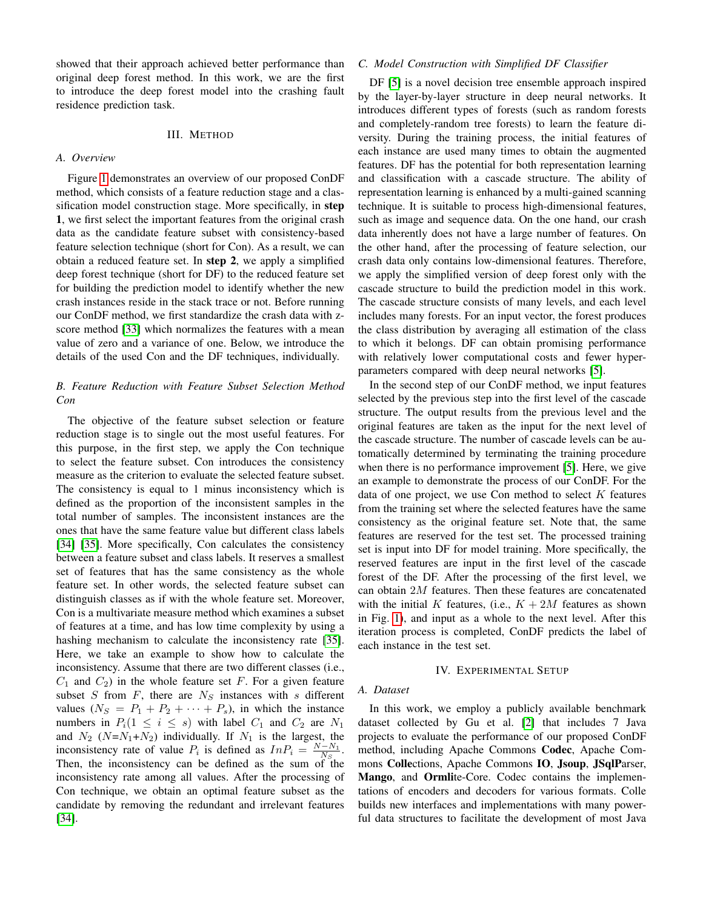showed that their approach achieved better performance than original deep forest method. In this work, we are the first to introduce the deep forest model into the crashing fault residence prediction task.

# III. METHOD

#### <span id="page-3-0"></span>*A. Overview*

Figure [1](#page-4-0) demonstrates an overview of our proposed ConDF method, which consists of a feature reduction stage and a classification model construction stage. More specifically, in step 1, we first select the important features from the original crash data as the candidate feature subset with consistency-based feature selection technique (short for Con). As a result, we can obtain a reduced feature set. In step 2, we apply a simplified deep forest technique (short for DF) to the reduced feature set for building the prediction model to identify whether the new crash instances reside in the stack trace or not. Before running our ConDF method, we first standardize the crash data with zscore method [\[33\]](#page-10-32) which normalizes the features with a mean value of zero and a variance of one. Below, we introduce the details of the used Con and the DF techniques, individually.

# *B. Feature Reduction with Feature Subset Selection Method Con*

The objective of the feature subset selection or feature reduction stage is to single out the most useful features. For this purpose, in the first step, we apply the Con technique to select the feature subset. Con introduces the consistency measure as the criterion to evaluate the selected feature subset. The consistency is equal to 1 minus inconsistency which is defined as the proportion of the inconsistent samples in the total number of samples. The inconsistent instances are the ones that have the same feature value but different class labels [\[34\]](#page-10-33) [\[35\]](#page-10-34). More specifically, Con calculates the consistency between a feature subset and class labels. It reserves a smallest set of features that has the same consistency as the whole feature set. In other words, the selected feature subset can distinguish classes as if with the whole feature set. Moreover, Con is a multivariate measure method which examines a subset of features at a time, and has low time complexity by using a hashing mechanism to calculate the inconsistency rate [\[35\]](#page-10-34). Here, we take an example to show how to calculate the inconsistency. Assume that there are two different classes (i.e.,  $C_1$  and  $C_2$ ) in the whole feature set F. For a given feature subset S from F, there are  $N<sub>S</sub>$  instances with s different values  $(N_S = P_1 + P_2 + \cdots + P_s)$ , in which the instance numbers in  $P_i(1 \leq i \leq s)$  with label  $C_1$  and  $C_2$  are  $N_1$ and  $N_2$  ( $N=N_1+N_2$ ) individually. If  $N_1$  is the largest, the inconsistency rate of value  $P_i$  is defined as  $InP_i = \frac{N-N_1}{N_S}$ . Then, the inconsistency can be defined as the sum of the inconsistency rate among all values. After the processing of Con technique, we obtain an optimal feature subset as the candidate by removing the redundant and irrelevant features [\[34\]](#page-10-33).

#### *C. Model Construction with Simplified DF Classifier*

DF [\[5\]](#page-10-4) is a novel decision tree ensemble approach inspired by the layer-by-layer structure in deep neural networks. It introduces different types of forests (such as random forests and completely-random tree forests) to learn the feature diversity. During the training process, the initial features of each instance are used many times to obtain the augmented features. DF has the potential for both representation learning and classification with a cascade structure. The ability of representation learning is enhanced by a multi-gained scanning technique. It is suitable to process high-dimensional features, such as image and sequence data. On the one hand, our crash data inherently does not have a large number of features. On the other hand, after the processing of feature selection, our crash data only contains low-dimensional features. Therefore, we apply the simplified version of deep forest only with the cascade structure to build the prediction model in this work. The cascade structure consists of many levels, and each level includes many forests. For an input vector, the forest produces the class distribution by averaging all estimation of the class to which it belongs. DF can obtain promising performance with relatively lower computational costs and fewer hyperparameters compared with deep neural networks [\[5\]](#page-10-4).

In the second step of our ConDF method, we input features selected by the previous step into the first level of the cascade structure. The output results from the previous level and the original features are taken as the input for the next level of the cascade structure. The number of cascade levels can be automatically determined by terminating the training procedure when there is no performance improvement [\[5\]](#page-10-4). Here, we give an example to demonstrate the process of our ConDF. For the data of one project, we use Con method to select  $K$  features from the training set where the selected features have the same consistency as the original feature set. Note that, the same features are reserved for the test set. The processed training set is input into DF for model training. More specifically, the reserved features are input in the first level of the cascade forest of the DF. After the processing of the first level, we can obtain 2M features. Then these features are concatenated with the initial K features, (i.e.,  $K + 2M$  features as shown in Fig. [1\)](#page-4-0), and input as a whole to the next level. After this iteration process is completed, ConDF predicts the label of each instance in the test set.

#### IV. EXPERIMENTAL SETUP

#### <span id="page-3-1"></span>*A. Dataset*

In this work, we employ a publicly available benchmark dataset collected by Gu et al. [\[2\]](#page-10-1) that includes 7 Java projects to evaluate the performance of our proposed ConDF method, including Apache Commons Codec, Apache Commons Collections, Apache Commons IO, Jsoup, JSqlParser, Mango, and Ormlite-Core. Codec contains the implementations of encoders and decoders for various formats. Colle builds new interfaces and implementations with many powerful data structures to facilitate the development of most Java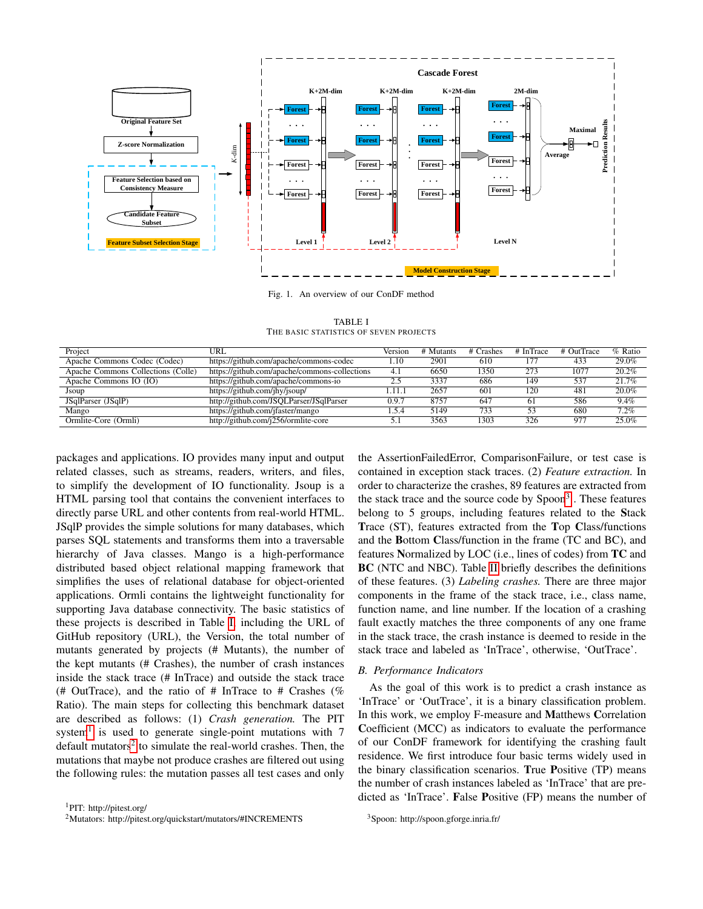

<span id="page-4-0"></span>Fig. 1. An overview of our ConDF method

TABLE I THE BASIC STATISTICS OF SEVEN PROJECTS

<span id="page-4-1"></span>

| Project                            | URL                                           | Version | # Mutants | # Crashes | # InTrace | # OutTrace | $%$ Ratio |
|------------------------------------|-----------------------------------------------|---------|-----------|-----------|-----------|------------|-----------|
| Apache Commons Codec (Codec)       | https://github.com/apache/commons-codec       | 1.10    | 2901      | 610       | 177       | 433        | 29.0%     |
| Apache Commons Collections (Colle) | https://github.com/apache/commons-collections | -4.1    | 6650      | 1350      | 273       | 1077       | 20.2%     |
| Apache Commons IO (IO)             | https://github.com/apache/commons-io          | 2.5     | 3337      | 686       | 149       | 537        | 21.7%     |
| Jsoup                              | https://github.com/jhy/jsoup/                 | l.11.1  | 2657      | 601       | 120       | 481        | 20.0%     |
| JSqlParser (JSqlP)                 | http://github.com/JSQLParser/JSqlParser       | 0.9.7   | 8757      | 647       | 61        | 586        | 9.4%      |
| Mango                              | https://github.com/jfaster/mango              | . . 5.4 | 5149      | 733       | 53        | 680        | 7.2%      |
| Ormlite-Core (Ormli)               | http://github.com/j256/ormlite-core           |         | 3563      | 1303      | 326       | 977        | 25.0%     |

packages and applications. IO provides many input and output related classes, such as streams, readers, writers, and files, to simplify the development of IO functionality. Jsoup is a HTML parsing tool that contains the convenient interfaces to directly parse URL and other contents from real-world HTML. JSqlP provides the simple solutions for many databases, which parses SQL statements and transforms them into a traversable hierarchy of Java classes. Mango is a high-performance distributed based object relational mapping framework that simplifies the uses of relational database for object-oriented applications. Ormli contains the lightweight functionality for supporting Java database connectivity. The basic statistics of these projects is described in Table [I,](#page-4-1) including the URL of GitHub repository (URL), the Version, the total number of mutants generated by projects (# Mutants), the number of the kept mutants (# Crashes), the number of crash instances inside the stack trace (# InTrace) and outside the stack trace (# OutTrace), and the ratio of  $#$  InTrace to  $#$  Crashes (%) Ratio). The main steps for collecting this benchmark dataset are described as follows: (1) *Crash generation.* The PIT system<sup>[1](#page-4-2)</sup> is used to generate single-point mutations with  $7$ default mutators<sup>[2](#page-4-3)</sup> to simulate the real-world crashes. Then, the mutations that maybe not produce crashes are filtered out using the following rules: the mutation passes all test cases and only

<span id="page-4-2"></span><sup>1</sup>PIT: http://pitest.org/

<span id="page-4-3"></span><sup>2</sup>Mutators: http://pitest.org/quickstart/mutators/#INCREMENTS

the AssertionFailedError, ComparisonFailure, or test case is contained in exception stack traces. (2) *Feature extraction.* In order to characterize the crashes, 89 features are extracted from the stack trace and the source code by Spoon<sup>[3](#page-4-4)</sup>. These features belong to 5 groups, including features related to the Stack Trace (ST), features extracted from the Top Class/functions and the Bottom Class/function in the frame (TC and BC), and features Normalized by LOC (i.e., lines of codes) from TC and BC (NTC and NBC). Table [II](#page-5-0) briefly describes the definitions of these features. (3) *Labeling crashes.* There are three major components in the frame of the stack trace, i.e., class name, function name, and line number. If the location of a crashing fault exactly matches the three components of any one frame in the stack trace, the crash instance is deemed to reside in the stack trace and labeled as 'InTrace', otherwise, 'OutTrace'.

#### *B. Performance Indicators*

As the goal of this work is to predict a crash instance as 'InTrace' or 'OutTrace', it is a binary classification problem. In this work, we employ F-measure and Matthews Correlation Coefficient (MCC) as indicators to evaluate the performance of our ConDF framework for identifying the crashing fault residence. We first introduce four basic terms widely used in the binary classification scenarios. True Positive (TP) means the number of crash instances labeled as 'InTrace' that are predicted as 'InTrace'. False Positive (FP) means the number of

<span id="page-4-4"></span><sup>3</sup>Spoon: http://spoon.gforge.inria.fr/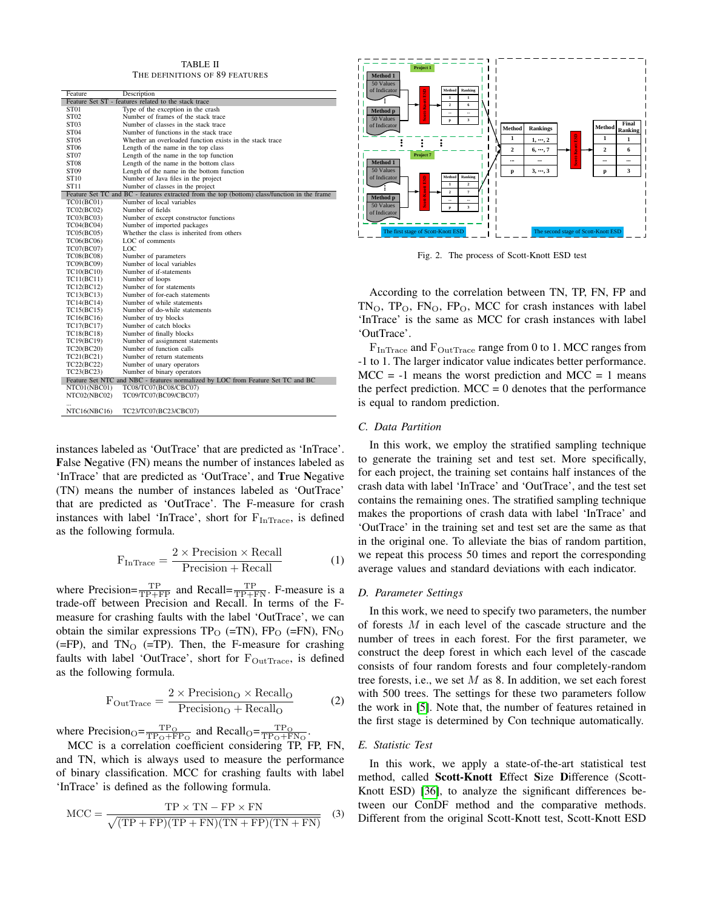TABLE II THE DEFINITIONS OF 89 FEATURES

<span id="page-5-0"></span>

| Feature           | Description                                                                                  |
|-------------------|----------------------------------------------------------------------------------------------|
|                   | Feature Set ST - features related to the stack trace                                         |
| ST <sub>01</sub>  | Type of the exception in the crash                                                           |
| ST <sub>02</sub>  | Number of frames of the stack trace                                                          |
| ST <sub>03</sub>  | Number of classes in the stack trace                                                         |
| ST <sub>04</sub>  | Number of functions in the stack trace                                                       |
| ST05              | Whether an overloaded function exists in the stack trace                                     |
| ST <sub>06</sub>  | Length of the name in the top class                                                          |
| ST <sub>07</sub>  | Length of the name in the top function                                                       |
| ST <sub>08</sub>  | Length of the name in the bottom class                                                       |
| ST <sub>09</sub>  | Length of the name in the bottom function                                                    |
| ST10              | Number of Java files in the project                                                          |
| ST11              | Number of classes in the project                                                             |
|                   | Feature Set TC and BC - features extracted from the top (bottom) class/function in the frame |
| <b>TC01(BC01)</b> | Number of local variables                                                                    |
| TC02(BC02)        | Number of fields                                                                             |
| TC03(BC03)        | Number of except constructor functions                                                       |
| TC04(BC04)        | Number of imported packages                                                                  |
| TC05(BC05)        | Whether the class is inherited from others                                                   |
| TC06(BC06)        | LOC of comments                                                                              |
| TC07(BC07)        | LOC                                                                                          |
| <b>TC08(BC08)</b> | Number of parameters                                                                         |
| TC09(BC09)        | Number of local variables                                                                    |
| TC10(BC10)        | Number of if-statements                                                                      |
| TC11(BC11)        | Number of loops                                                                              |
| TC12(BC12)        | Number of for statements                                                                     |
| TC13(BC13)        | Number of for-each statements                                                                |
| TC14(BC14)        | Number of while statements                                                                   |
| TC15(BC15)        | Number of do-while statements                                                                |
| TC16(BC16)        | Number of try blocks                                                                         |
| TC17(BC17)        | Number of catch blocks                                                                       |
| TC18(BC18)        | Number of finally blocks                                                                     |
| TC19(BC19)        | Number of assignment statements                                                              |
| TC20(BC20)        | Number of function calls                                                                     |
| TC21(BC21)        | Number of return statements                                                                  |
| TC22(BC22)        | Number of unary operators                                                                    |
| TC23(BC23)        | Number of binary operators                                                                   |
|                   | Feature Set NTC and NBC - features normalized by LOC from Feature Set TC and BC              |
| NTC01(NBC01)      | TC08/TC07(BC08/CBC07)                                                                        |
| NTC02(NBC02)      | TC09/TC07(BC09/CBC07)                                                                        |
| $\ddotsc$         |                                                                                              |
| NTC16(NBC16)      | TC23/TC07(BC23/CBC07)                                                                        |

instances labeled as 'OutTrace' that are predicted as 'InTrace'. False Negative (FN) means the number of instances labeled as 'InTrace' that are predicted as 'OutTrace', and True Negative (TN) means the number of instances labeled as 'OutTrace' that are predicted as 'OutTrace'. The F-measure for crash instances with label 'InTrace', short for  $F_{InTrace}$ , is defined as the following formula.

$$
F_{InTrace} = \frac{2 \times Precision \times Recall}{Precision + Recall}
$$
 (1)

where Precision= $\frac{TP}{TP+FP}$  and Recall= $\frac{TP}{TP+FN}$ . F-measure is a trade-off between Precision and Recall. In terms of the Fmeasure for crashing faults with the label 'OutTrace', we can obtain the similar expressions  $TP_O$  (=TN),  $FP_O$  (=FN),  $FN_O$  $(=FP)$ , and  $TN_O$   $(=TP)$ . Then, the F-measure for crashing faults with label 'OutTrace', short for  $F_{\text{OutTrace}}$ , is defined as the following formula.

$$
F_{\text{OutTrace}} = \frac{2 \times \text{Precision}_{\text{O}} \times \text{Recall}_{\text{O}}}{\text{Precision}_{\text{O}} + \text{Recall}_{\text{O}}}
$$
(2)

where Precision<sub>O</sub>= $\frac{\text{TP}_\text{O}}{\text{TP}_\text{O} + \text{FP}_\text{O}}$  and Recall<sub>O</sub>= $\frac{\text{TP}_\text{O}}{\text{TP}_\text{O} + \text{FN}_\text{O}}$ .

MCC is a correlation coefficient considering TP, FP, FN, and TN, which is always used to measure the performance of binary classification. MCC for crashing faults with label 'InTrace' is defined as the following formula.

$$
MCC = \frac{TP \times TN - FP \times FN}{\sqrt{(TP + FP)(TP + FN)(TN + FP)(TN + FN)}} \quad (3)
$$



<span id="page-5-1"></span>Fig. 2. The process of Scott-Knott ESD test

According to the correlation between TN, TP, FN, FP and  $TN_O$ ,  $TP_O$ ,  $FN_O$ ,  $FP_O$ , MCC for crash instances with label 'InTrace' is the same as MCC for crash instances with label 'OutTrace'.

F<sub>InTrace</sub> and F<sub>OutTrace</sub> range from 0 to 1. MCC ranges from -1 to 1. The larger indicator value indicates better performance.  $MCC = -1$  means the worst prediction and  $MCC = 1$  means the perfect prediction.  $MCC = 0$  denotes that the performance is equal to random prediction.

#### *C. Data Partition*

In this work, we employ the stratified sampling technique to generate the training set and test set. More specifically, for each project, the training set contains half instances of the crash data with label 'InTrace' and 'OutTrace', and the test set contains the remaining ones. The stratified sampling technique makes the proportions of crash data with label 'InTrace' and 'OutTrace' in the training set and test set are the same as that in the original one. To alleviate the bias of random partition, we repeat this process 50 times and report the corresponding average values and standard deviations with each indicator.

### *D. Parameter Settings*

In this work, we need to specify two parameters, the number of forests M in each level of the cascade structure and the number of trees in each forest. For the first parameter, we construct the deep forest in which each level of the cascade consists of four random forests and four completely-random tree forests, i.e., we set  $M$  as 8. In addition, we set each forest with 500 trees. The settings for these two parameters follow the work in [\[5\]](#page-10-4). Note that, the number of features retained in the first stage is determined by Con technique automatically.

#### *E. Statistic Test*

In this work, we apply a state-of-the-art statistical test method, called Scott-Knott Effect Size Difference (Scott-Knott ESD) [\[36\]](#page-10-35), to analyze the significant differences between our ConDF method and the comparative methods. Different from the original Scott-Knott test, Scott-Knott ESD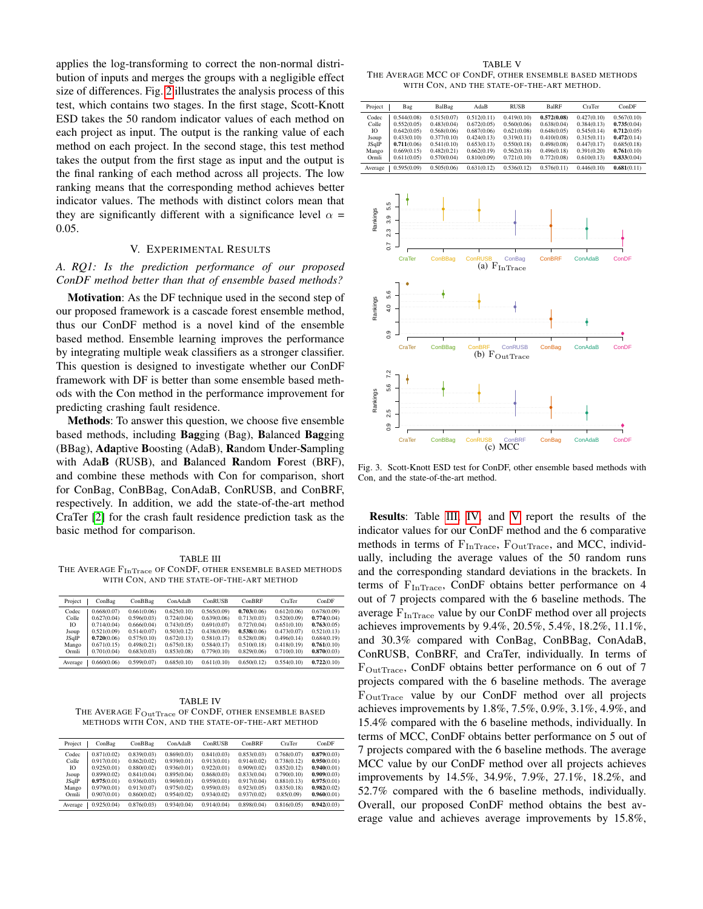applies the log-transforming to correct the non-normal distribution of inputs and merges the groups with a negligible effect size of differences. Fig. [2](#page-5-1) illustrates the analysis process of this test, which contains two stages. In the first stage, Scott-Knott ESD takes the 50 random indicator values of each method on each project as input. The output is the ranking value of each method on each project. In the second stage, this test method takes the output from the first stage as input and the output is the final ranking of each method across all projects. The low ranking means that the corresponding method achieves better indicator values. The methods with distinct colors mean that they are significantly different with a significance level  $\alpha$  = 0.05.

#### V. EXPERIMENTAL RESULTS

# <span id="page-6-0"></span>*A. RQ1: Is the prediction performance of our proposed ConDF method better than that of ensemble based methods?*

Motivation: As the DF technique used in the second step of our proposed framework is a cascade forest ensemble method, thus our ConDF method is a novel kind of the ensemble based method. Ensemble learning improves the performance by integrating multiple weak classifiers as a stronger classifier. This question is designed to investigate whether our ConDF framework with DF is better than some ensemble based methods with the Con method in the performance improvement for predicting crashing fault residence.

Methods: To answer this question, we choose five ensemble based methods, including Bagging (Bag), Balanced Bagging (BBag), Adaptive Boosting (AdaB), Random Under-Sampling with AdaB (RUSB), and Balanced Random Forest (BRF), and combine these methods with Con for comparison, short for ConBag, ConBBag, ConAdaB, ConRUSB, and ConBRF, respectively. In addition, we add the state-of-the-art method CraTer [\[2\]](#page-10-1) for the crash fault residence prediction task as the basic method for comparison.

<span id="page-6-1"></span>TABLE III THE AVERAGE  $F_{InTrace}$  OF CONDF, OTHER ENSEMBLE BASED METHODS WITH CON, AND THE STATE-OF-THE-ART METHOD

| Project        | ConBag                     | ConBBag                    | ConAdaB                    | ConRUSB                    | ConBRF                     | CraTer                     | ConDF                      |
|----------------|----------------------------|----------------------------|----------------------------|----------------------------|----------------------------|----------------------------|----------------------------|
| Codec<br>Colle | 0.668(0.07)<br>0.627(0.04) | 0.661(0.06)<br>0.596(0.03) | 0.625(0.10)<br>0.724(0.04) | 0.565(0.09)<br>0.639(0.06) | 0.703(0.06)<br>0.713(0.03) | 0.612(0.06)<br>0.520(0.09) | 0.678(0.09)<br>0.774(0.04) |
| IO.            | 0.714(0.04)                | 0.666(0.04)                | 0.743(0.05)                | 0.691(0.07)                | 0.727(0.04)                | 0.651(0.10)                | 0.763(0.05)                |
| Jsoup<br>JSqlP | 0.521(0.09)<br>0.720(0.06) | 0.514(0.07)<br>0.575(0.10) | 0.503(0.12)<br>0.672(0.13) | 0.438(0.09)<br>0.581(0.17) | 0.538(0.06)<br>0.528(0.08) | 0.473(0.07)<br>0.496(0.14) | 0.521(0.13)<br>0.684(0.19) |
| Mango          | 0.671(0.15)                | 0.498(0.21)                | 0.675(0.18)                | 0.584(0.17)                | 0.510(0.18)                | 0.418(0.19)                | 0.761(0.10)                |
| Ormli          | 0.701(0.04)                | 0.683(0.03)                | 0.853(0.08)                | 0.779(0.10)                | 0.829(0.06)                | 0.710(0.10)                | 0.870(0.03)                |
| Average        | 0.660(0.06)                | 0.599(0.07)                | 0.685(0.10)                | 0.611(0.10)                | 0.650(0.12)                | 0.554(0.10)                | 0.722(0.10)                |

<span id="page-6-2"></span>TABLE IV THE AVERAGE FOutTrace OF CONDF, OTHER ENSEMBLE BASED METHODS WITH CON, AND THE STATE-OF-THE-ART METHOD

| Project | ConBag      | ConBBag     | ConAdaB     | ConRUSB     | ConBRF      | CraTer      | ConDF       |
|---------|-------------|-------------|-------------|-------------|-------------|-------------|-------------|
| Codec   | 0.871(0.02) | 0.839(0.03) | 0.869(0.03) | 0.841(0.03) | 0.853(0.03) | 0.768(0.07) | 0.879(0.03) |
| Colle   | 0.917(0.01) | 0.862(0.02) | 0.939(0.01) | 0.913(0.01) | 0.914(0.02) | 0.738(0.12) | 0.950(0.01) |
| Ю       | 0.925(0.01) | 0.880(0.02) | 0.936(0.01) | 0.922(0.01) | 0.909(0.02) | 0.852(0.12) | 0.940(0.01) |
| Jsoup   | 0.899(0.02) | 0.841(0.04) | 0.895(0.04) | 0.868(0.03) | 0.833(0.04) | 0.790(0.10) | 0.909(0.03) |
| JSqlP   | 0.975(0.01) | 0.936(0.03) | 0.969(0.01) | 0.959(0.01) | 0.917(0.04) | 0.881(0.13) | 0.975(0.01) |
| Mango   | 0.979(0.01) | 0.913(0.07) | 0.975(0.02) | 0.959(0.03) | 0.923(0.05) | 0.835(0.18) | 0.982(0.02) |
| Ormli   | 0.907(0.01) | 0.860(0.02) | 0.954(0.02) | 0.934(0.02) | 0.937(0.02) | 0.85(0.09)  | 0.960(0.01) |
| Average | 0.925(0.04) | 0.876(0.03) | 0.934(0.04) | 0.914(0.04) | 0.898(0.04) | 0.816(0.05) | 0.942(0.03) |

<span id="page-6-3"></span>TABLE V THE AVERAGE MCC OF CONDF, OTHER ENSEMBLE BASED METHODS WITH CON, AND THE STATE-OF-THE-ART METHOD.

| Project | Bag         | BalBag      | AdaB        | <b>RUSB</b> | <b>BalRF</b> | CraTer      | ConDF       |
|---------|-------------|-------------|-------------|-------------|--------------|-------------|-------------|
| Codec   | 0.544(0.08) | 0.515(0.07) | 0.512(0.11) | 0.419(0.10) | 0.572(0.08)  | 0.427(0.10) | 0.567(0.10) |
| Colle   | 0.552(0.05) | 0.483(0.04) | 0.672(0.05) | 0.560(0.06) | 0.638(0.04)  | 0.384(0.13) | 0.735(0.04) |
| Ю       | 0.642(0.05) | 0.568(0.06) | 0.687(0.06) | 0.621(0.08) | 0.648(0.05)  | 0.545(0.14) | 0.712(0.05) |
| Jsoup   | 0.433(0.10) | 0.377(0.10) | 0.424(0.13) | 0.319(0.11) | 0.410(0.08)  | 0.315(0.11) | 0.472(0.14) |
| JSqlP   | 0.711(0.06) | 0.541(0.10) | 0.653(0.13) | 0.550(0.18) | 0.498(0.08)  | 0.447(0.17) | 0.685(0.18) |
| Mango   | 0.669(0.15) | 0.482(0.21) | 0.662(0.19) | 0.562(0.18) | 0.496(0.18)  | 0.391(0.20) | 0.761(0.10) |
| Ormli   | 0.611(0.05) | 0.570(0.04) | 0.810(0.09) | 0.721(0.10) | 0.772(0.08)  | 0.610(0.13) | 0.833(0.04) |
| Average | 0.595(0.09) | 0.505(0.06) | 0.631(0.12) | 0.536(0.12) | 0.576(0.11)  | 0.446(0.10) | 0.681(0.11) |



<span id="page-6-4"></span>Fig. 3. Scott-Knott ESD test for ConDF, other ensemble based methods with Con, and the state-of-the-art method.

Results: Table [III,](#page-6-1) [IV,](#page-6-2) and [V](#page-6-3) report the results of the indicator values for our ConDF method and the 6 comparative methods in terms of  $F_{InTrace}$ ,  $F_{OutTrace}$ , and MCC, individually, including the average values of the 50 random runs and the corresponding standard deviations in the brackets. In terms of F<sub>InTrace</sub>, ConDF obtains better performance on 4 out of 7 projects compared with the 6 baseline methods. The average  $F_{InTrace}$  value by our ConDF method over all projects achieves improvements by 9.4%, 20.5%, 5.4%, 18.2%, 11.1%, and 30.3% compared with ConBag, ConBBag, ConAdaB, ConRUSB, ConBRF, and CraTer, individually. In terms of FOutTrace, ConDF obtains better performance on 6 out of 7 projects compared with the 6 baseline methods. The average FOutTrace value by our ConDF method over all projects achieves improvements by 1.8%, 7.5%, 0.9%, 3.1%, 4.9%, and 15.4% compared with the 6 baseline methods, individually. In terms of MCC, ConDF obtains better performance on 5 out of 7 projects compared with the 6 baseline methods. The average MCC value by our ConDF method over all projects achieves improvements by 14.5%, 34.9%, 7.9%, 27.1%, 18.2%, and 52.7% compared with the 6 baseline methods, individually. Overall, our proposed ConDF method obtains the best average value and achieves average improvements by 15.8%,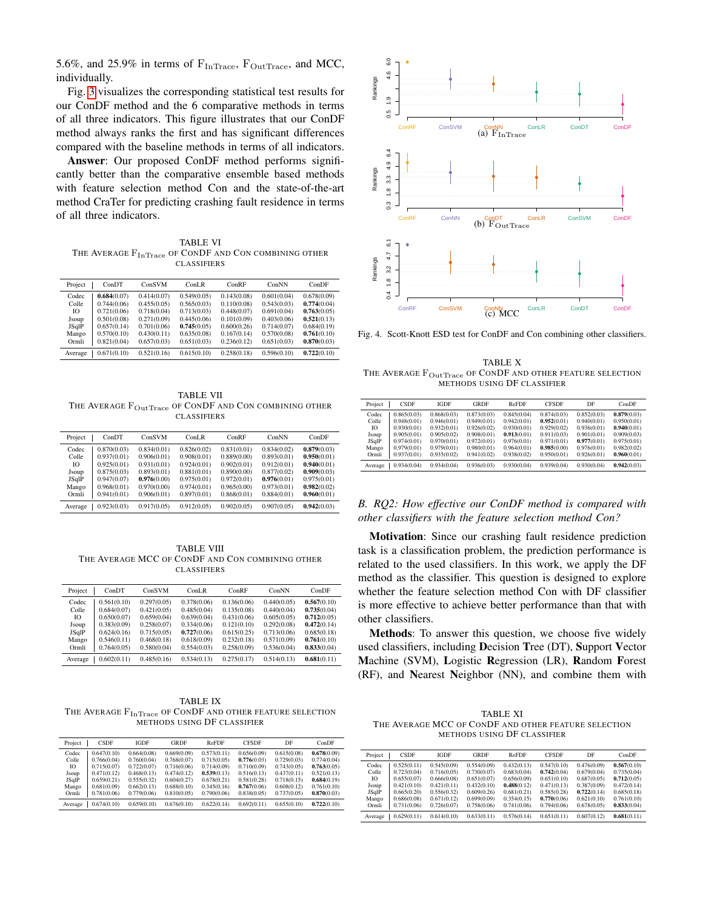5.6%, and 25.9% in terms of  $\rm F_{InTrace},\ F_{OutTrace},$  and MCC, individually.

Fig. [3](#page-6-4) visualizes the corresponding statistical test results for our ConDF method and the 6 comparative methods in terms of all three indicators. This figure illustrates that our ConDF method always ranks the first and has significant differences compared with the baseline methods in terms of all indicators.

Answer: Our proposed ConDF method performs significantly better than the comparative ensemble based methods with feature selection method Con and the state-of-the-art method CraTer for predicting crashing fault residence in terms of all three indicators.

<span id="page-7-0"></span>TABLE VI THE AVERAGE  $\rm F_{InTrace}$  of CONDF and CON COMBINING OTHER CLASSIFIERS

| Project | ConDT       | ConSVM      | ConLR       | ConRF       | ConNN       | ConDF       |
|---------|-------------|-------------|-------------|-------------|-------------|-------------|
| Codec   | 0.684(0.07) | 0.414(0.07) | 0.549(0.05) | 0.143(0.08) | 0.601(0.04) | 0.678(0.09) |
| Colle   | 0.744(0.06) | 0.455(0.05) | 0.565(0.03) | 0.110(0.08) | 0.543(0.03) | 0.774(0.04) |
| Ю       | 0.721(0.06) | 0.718(0.04) | 0.713(0.03) | 0.448(0.07) | 0.691(0.04) | 0.763(0.05) |
| Jsoup   | 0.501(0.08) | 0.271(0.09) | 0.445(0.06) | 0.101(0.09) | 0.403(0.06) | 0.521(0.13) |
| JSqlP   | 0.657(0.14) | 0.701(0.06) | 0.745(0.05) | 0.600(0.26) | 0.714(0.07) | 0.684(0.19) |
| Mango   | 0.570(0.10) | 0.430(0.11) | 0.635(0.08) | 0.167(0.14) | 0.570(0.08) | 0.761(0.10) |
| Ormli   | 0.821(0.04) | 0.657(0.03) | 0.651(0.03) | 0.236(0.12) | 0.651(0.03) | 0.870(0.03) |
| Average | 0.671(0.10) | 0.521(0.16) | 0.615(0.10) | 0.258(0.18) | 0.596(0.10) | 0.722(0.10) |

<span id="page-7-1"></span>TABLE VII THE AVERAGE  $F_{\rm OutTrace}$  of ConDF and Con combining other CLASSIFIERS

| Project | ConDT       | ConSVM      | ConLR       | ConRF       | ConNN       | ConDF       |
|---------|-------------|-------------|-------------|-------------|-------------|-------------|
| Codec   | 0.870(0.03) | 0.834(0.01) | 0.826(0.02) | 0.831(0.01) | 0.834(0.02) | 0.879(0.03) |
| Colle   | 0.937(0.01) | 0.906(0.01) | 0.908(0.01) | 0.889(0.00) | 0.893(0.01) | 0.950(0.01) |
| Ю       | 0.925(0.01) | 0.931(0.01) | 0.924(0.01) | 0.902(0.01) | 0.912(0.01) | 0.940(0.01) |
| Jsoup   | 0.875(0.03) | 0.893(0.01) | 0.881(0.01) | 0.890(0.00) | 0.877(0.02) | 0.909(0.03) |
| JSqlP   | 0.947(0.07) | 0.976(0.00) | 0.975(0.01) | 0.972(0.01) | 0.976(0.01) | 0.975(0.01) |
| Mango   | 0.968(0.01) | 0.970(0.00) | 0.974(0.01) | 0.965(0.00) | 0.973(0.01) | 0.982(0.02) |
| Ormli   | 0.941(0.01) | 0.906(0.01) | 0.897(0.01) | 0.868(0.01) | 0.884(0.01) | 0.960(0.01) |
| Average | 0.923(0.03) | 0.917(0.05) | 0.912(0.05) | 0.902(0.05) | 0.907(0.05) | 0.942(0.03) |

<span id="page-7-2"></span>TABLE VIII THE AVERAGE MCC OF CONDF AND CON COMBINING OTHER **CLASSIFIERS** 

| Project | ConDT       | ConSVM      | ConLR       | ConRF       | ConNN       | ConDF       |
|---------|-------------|-------------|-------------|-------------|-------------|-------------|
| Codec   | 0.561(0.10) | 0.297(0.05) | 0.378(0.06) | 0.136(0.06) | 0.440(0.05) | 0.567(0.10) |
| Colle   | 0.684(0.07) | 0.421(0.05) | 0.485(0.04) | 0.135(0.08) | 0.440(0.04) | 0.735(0.04) |
| Ю       | 0.650(0.07) | 0.659(0.04) | 0.639(0.04) | 0.431(0.06) | 0.605(0.05) | 0.712(0.05) |
| Jsoup   | 0.383(0.09) | 0.258(0.07) | 0.334(0.06) | 0.121(0.10) | 0.292(0.08) | 0.472(0.14) |
| JSqlP   | 0.624(0.16) | 0.715(0.05) | 0.727(0.06) | 0.615(0.25) | 0.713(0.06) | 0.685(0.18) |
| Mango   | 0.546(0.11) | 0.468(0.18) | 0.618(0.09) | 0.232(0.18) | 0.571(0.09) | 0.761(0.10) |
| Ormli   | 0.764(0.05) | 0.580(0.04) | 0.554(0.03) | 0.258(0.09) | 0.536(0.04) | 0.833(0.04) |
| Average | 0.602(0.11) | 0.485(0.16) | 0.534(0.13) | 0.275(0.17) | 0.514(0.13) | 0.681(0.11) |

<span id="page-7-4"></span>TABLE IX THE AVERAGE  $F_{InTrace}$  OF CONDF AND OTHER FEATURE SELECTION METHODS USING DF CLASSIFIER

| Project | <b>CSDF</b> | <b>IGDF</b> | GRDF        | ReFDF       | <b>CESDE</b> | DF          | ConDF       |
|---------|-------------|-------------|-------------|-------------|--------------|-------------|-------------|
| Codec   | 0.647(0.10) | 0.664(0.08) | 0.669(0.09) | 0.573(0.11) | 0.656(0.09)  | 0.615(0.08) | 0.678(0.09) |
| Colle   | 0.766(0.04) | 0.760(0.04) | 0.768(0.07) | 0.715(0.05) | 0.776(0.03)  | 0.729(0.03) | 0.774(0.04) |
| Ю       | 0.715(0.07) | 0.722(0.07) | 0.716(0.06) | 0.714(0.09) | 0.710(0.09)  | 0.743(0.05) | 0.763(0.05) |
| Jsoup   | 0.471(0.12) | 0.468(0.13) | 0.474(0.12) | 0.539(0.13) | 0.516(0.13)  | 0.437(0.11) | 0.521(0.13) |
| JSqlP   | 0.659(0.21) | 0.555(0.32) | 0.604(0.27) | 0.678(0.21) | 0.581(0.28)  | 0.718(0.15) | 0.684(0.19) |
| Mango   | 0.681(0.09) | 0.662(0.13) | 0.688(0.10) | 0.345(0.16) | 0.767(0.06)  | 0.608(0.12) | 0.761(0.10) |
| Ormli   | 0.781(0.06) | 0.779(0.06) | 0.810(0.05) | 0.790(0.06) | 0.838(0.05)  | 0.737(0.05) | 0.870(0.03) |
| Average | 0.674(0.10) | 0.659(0.10) | 0.676(0.10) | 0.622(0.14) | 0.692(0.11)  | 0.655(0.10) | 0.722(0.10) |



<span id="page-7-3"></span>Fig. 4. Scott-Knott ESD test for ConDF and Con combining other classifiers.

<span id="page-7-5"></span>TABLE X THE AVERAGE  $\rm F_{OutTrace}$  of CONDF and other feature selection METHODS USING DF CLASSIFIER

| Project | <b>CSDF</b> | <b>IGDF</b> | GRDF        | ReFDF       | <b>CESDE</b> | DF          | ConDF       |
|---------|-------------|-------------|-------------|-------------|--------------|-------------|-------------|
| Codec   | 0.865(0.03) | 0.868(0.03) | 0.873(0.03) | 0.845(0.04) | 0.874(0.03)  | 0.852(0.03) | 0.879(0.03) |
| Colle   | 0.948(0.01) | 0.946(0.01) | 0.949(0.01) | 0.942(0.01) | 0.952(0.01)  | 0.940(0.01) | 0.950(0.01) |
| Ю       | 0.930(0.01) | 0.932(0.01) | 0.926(0.02) | 0.930(0.01) | 0.929(0.02)  | 0.936(0.01) | 0.940(0.01) |
| Jsoup   | 0.905(0.01) | 0.905(0.02) | 0.908(0.01) | 0.913(0.01) | 0.911(0.03)  | 0.901(0.01) | 0.909(0.03) |
| JSqlP   | 0.974(0.01) | 0.970(0.01) | 0.972(0.01) | 0.976(0.01) | 0.971(0.01)  | 0.977(0.01) | 0.975(0.01) |
| Mango   | 0.979(0.01) | 0.979(0.01) | 0.980(0.01) | 0.964(0.01) | 0.985(0.00)  | 0.976(0.01) | 0.982(0.02) |
| Ormli   | 0.937(0.01) | 0.935(0.02) | 0.941(0.02) | 0.938(0.02) | 0.950(0.01)  | 0.926(0.01) | 0.960(0.01) |
| Average | 0.934(0.04) | 0.934(0.04) | 0.936(0.03) | 0.930(0.04) | 0.939(0.04)  | 0.930(0.04) | 0.942(0.03) |

# *B. RQ2: How effective our ConDF method is compared with other classifiers with the feature selection method Con?*

Motivation: Since our crashing fault residence prediction task is a classification problem, the prediction performance is related to the used classifiers. In this work, we apply the DF method as the classifier. This question is designed to explore whether the feature selection method Con with DF classifier is more effective to achieve better performance than that with other classifiers.

Methods: To answer this question, we choose five widely used classifiers, including Decision Tree (DT), Support Vector Machine (SVM), Logistic Regression (LR), Random Forest (RF), and Nearest Neighbor (NN), and combine them with

<span id="page-7-6"></span>TABLE XI THE AVERAGE MCC OF CONDF AND OTHER FEATURE SELECTION METHODS USING DF CLASSIFIER

| Project | <b>CSDF</b> | <b>IGDF</b> | GRDF        | ReFDF       | <b>CESDE</b> | DF          | ConDF       |
|---------|-------------|-------------|-------------|-------------|--------------|-------------|-------------|
| Codec   | 0.525(0.11) | 0.545(0.09) | 0.554(0.09) | 0.432(0.13) | 0.547(0.10)  | 0.476(0.09) | 0.567(0.10) |
| Colle   | 0.723(0.04) | 0.716(0.05) | 0.730(0.07) | 0.683(0.04) | 0.742(0.04)  | 0.679(0.04) | 0.735(0.04) |
| Ю       | 0.655(0.07) | 0.666(0.08) | 0.651(0.07) | 0.656(0.09) | 0.651(0.10)  | 0.687(0.05) | 0.712(0.05) |
| Jsoup   | 0.421(0.10) | 0.421(0.11) | 0.432(0.10) | 0.488(0.12) | 0.471(0.13)  | 0.387(0.09) | 0.472(0.14) |
| JSqlP   | 0.665(0.20) | 0.556(0.32) | 0.609(0.26) | 0.681(0.21) | 0.585(0.28)  | 0.722(0.14) | 0.685(0.18) |
| Mango   | 0.686(0.08) | 0.671(0.12) | 0.699(0.09) | 0.354(0.15) | 0.770(0.06)  | 0.621(0.10) | 0.761(0.10) |
| Ormli   | 0.731(0.06) | 0.726(0.07) | 0.758(0.06) | 0.741(0.06) | 0.794(0.06)  | 0.678(0.05) | 0.833(0.04) |
| Average | 0.629(0.11) | 0.614(0.10) | 0.633(0.11) | 0.576(0.14) | 0.651(0.11)  | 0.607(0.12) | 0.681(0.11) |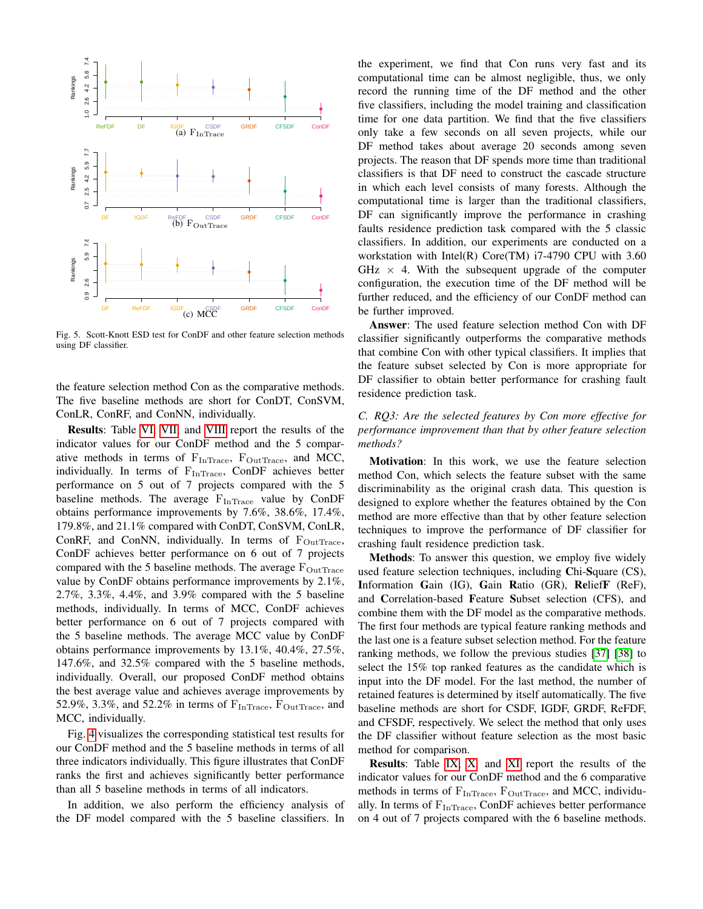

<span id="page-8-0"></span>Fig. 5. Scott-Knott ESD test for ConDF and other feature selection methods using DF classifier.

the feature selection method Con as the comparative methods. The five baseline methods are short for ConDT, ConSVM, ConLR, ConRF, and ConNN, individually.

Results: Table [VI,](#page-7-0) [VII,](#page-7-1) and [VIII](#page-7-2) report the results of the indicator values for our ConDF method and the 5 comparative methods in terms of  $F_{InTrace}$ ,  $F_{OutTrace}$ , and MCC, individually. In terms of F<sub>InTrace</sub>, ConDF achieves better performance on 5 out of 7 projects compared with the 5 baseline methods. The average  $F_{InTrace}$  value by ConDF obtains performance improvements by 7.6%, 38.6%, 17.4%, 179.8%, and 21.1% compared with ConDT, ConSVM, ConLR, ConRF, and ConNN, individually. In terms of  $F_{OutTrace}$ , ConDF achieves better performance on 6 out of 7 projects compared with the 5 baseline methods. The average  $F_{OutTrace}$ value by ConDF obtains performance improvements by 2.1%, 2.7%, 3.3%, 4.4%, and 3.9% compared with the 5 baseline methods, individually. In terms of MCC, ConDF achieves better performance on 6 out of 7 projects compared with the 5 baseline methods. The average MCC value by ConDF obtains performance improvements by 13.1%, 40.4%, 27.5%, 147.6%, and 32.5% compared with the 5 baseline methods, individually. Overall, our proposed ConDF method obtains the best average value and achieves average improvements by 52.9%, 3.3%, and 52.2% in terms of  $F_{InTrace}$ ,  $F_{OutTrace}$ , and MCC, individually.

Fig. [4](#page-7-3) visualizes the corresponding statistical test results for our ConDF method and the 5 baseline methods in terms of all three indicators individually. This figure illustrates that ConDF ranks the first and achieves significantly better performance than all 5 baseline methods in terms of all indicators.

In addition, we also perform the efficiency analysis of the DF model compared with the 5 baseline classifiers. In the experiment, we find that Con runs very fast and its computational time can be almost negligible, thus, we only record the running time of the DF method and the other five classifiers, including the model training and classification time for one data partition. We find that the five classifiers only take a few seconds on all seven projects, while our DF method takes about average 20 seconds among seven projects. The reason that DF spends more time than traditional classifiers is that DF need to construct the cascade structure in which each level consists of many forests. Although the computational time is larger than the traditional classifiers, DF can significantly improve the performance in crashing faults residence prediction task compared with the 5 classic classifiers. In addition, our experiments are conducted on a workstation with Intel(R) Core(TM) i7-4790 CPU with 3.60  $GHz \times 4$ . With the subsequent upgrade of the computer configuration, the execution time of the DF method will be further reduced, and the efficiency of our ConDF method can be further improved.

Answer: The used feature selection method Con with DF classifier significantly outperforms the comparative methods that combine Con with other typical classifiers. It implies that the feature subset selected by Con is more appropriate for DF classifier to obtain better performance for crashing fault residence prediction task.

# *C. RQ3: Are the selected features by Con more effective for performance improvement than that by other feature selection methods?*

Motivation: In this work, we use the feature selection method Con, which selects the feature subset with the same discriminability as the original crash data. This question is designed to explore whether the features obtained by the Con method are more effective than that by other feature selection techniques to improve the performance of DF classifier for crashing fault residence prediction task.

Methods: To answer this question, we employ five widely used feature selection techniques, including Chi-Square (CS), Information Gain (IG), Gain Ratio (GR), ReliefF (ReF), and Correlation-based Feature Subset selection (CFS), and combine them with the DF model as the comparative methods. The first four methods are typical feature ranking methods and the last one is a feature subset selection method. For the feature ranking methods, we follow the previous studies [\[37\]](#page-10-36) [\[38\]](#page-10-37) to select the 15% top ranked features as the candidate which is input into the DF model. For the last method, the number of retained features is determined by itself automatically. The five baseline methods are short for CSDF, IGDF, GRDF, ReFDF, and CFSDF, respectively. We select the method that only uses the DF classifier without feature selection as the most basic method for comparison.

Results: Table [IX,](#page-7-4) [X,](#page-7-5) and [XI](#page-7-6) report the results of the indicator values for our ConDF method and the 6 comparative methods in terms of  $F_{InTrace}$ ,  $F_{OutTrace}$ , and MCC, individually. In terms of  $F_{InTrace}$ , ConDF achieves better performance on 4 out of 7 projects compared with the 6 baseline methods.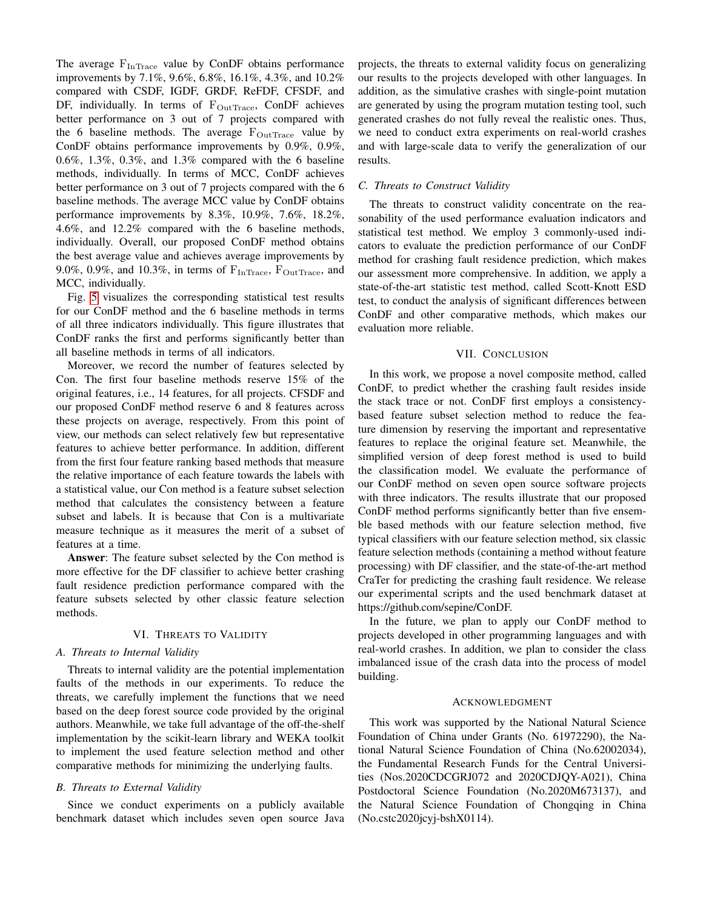The average  $F_{InTrace}$  value by ConDF obtains performance improvements by 7.1%, 9.6%, 6.8%, 16.1%, 4.3%, and 10.2% compared with CSDF, IGDF, GRDF, ReFDF, CFSDF, and DF, individually. In terms of  $F_{OutTrace}$ , ConDF achieves better performance on 3 out of 7 projects compared with the 6 baseline methods. The average  $F_{\text{OutTrace}}$  value by ConDF obtains performance improvements by 0.9%, 0.9%, 0.6%, 1.3%, 0.3%, and 1.3% compared with the 6 baseline methods, individually. In terms of MCC, ConDF achieves better performance on 3 out of 7 projects compared with the 6 baseline methods. The average MCC value by ConDF obtains performance improvements by 8.3%, 10.9%, 7.6%, 18.2%, 4.6%, and 12.2% compared with the 6 baseline methods, individually. Overall, our proposed ConDF method obtains the best average value and achieves average improvements by 9.0%, 0.9%, and 10.3%, in terms of  $F_{InTrace}$ ,  $F_{OutTrace}$ , and MCC, individually.

Fig. [5](#page-8-0) visualizes the corresponding statistical test results for our ConDF method and the 6 baseline methods in terms of all three indicators individually. This figure illustrates that ConDF ranks the first and performs significantly better than all baseline methods in terms of all indicators.

Moreover, we record the number of features selected by Con. The first four baseline methods reserve 15% of the original features, i.e., 14 features, for all projects. CFSDF and our proposed ConDF method reserve 6 and 8 features across these projects on average, respectively. From this point of view, our methods can select relatively few but representative features to achieve better performance. In addition, different from the first four feature ranking based methods that measure the relative importance of each feature towards the labels with a statistical value, our Con method is a feature subset selection method that calculates the consistency between a feature subset and labels. It is because that Con is a multivariate measure technique as it measures the merit of a subset of features at a time.

Answer: The feature subset selected by the Con method is more effective for the DF classifier to achieve better crashing fault residence prediction performance compared with the feature subsets selected by other classic feature selection methods.

# VI. THREATS TO VALIDITY

# <span id="page-9-0"></span>*A. Threats to Internal Validity*

Threats to internal validity are the potential implementation faults of the methods in our experiments. To reduce the threats, we carefully implement the functions that we need based on the deep forest source code provided by the original authors. Meanwhile, we take full advantage of the off-the-shelf implementation by the scikit-learn library and WEKA toolkit to implement the used feature selection method and other comparative methods for minimizing the underlying faults.

#### *B. Threats to External Validity*

Since we conduct experiments on a publicly available benchmark dataset which includes seven open source Java projects, the threats to external validity focus on generalizing our results to the projects developed with other languages. In addition, as the simulative crashes with single-point mutation are generated by using the program mutation testing tool, such generated crashes do not fully reveal the realistic ones. Thus, we need to conduct extra experiments on real-world crashes and with large-scale data to verify the generalization of our results.

#### *C. Threats to Construct Validity*

The threats to construct validity concentrate on the reasonability of the used performance evaluation indicators and statistical test method. We employ 3 commonly-used indicators to evaluate the prediction performance of our ConDF method for crashing fault residence prediction, which makes our assessment more comprehensive. In addition, we apply a state-of-the-art statistic test method, called Scott-Knott ESD test, to conduct the analysis of significant differences between ConDF and other comparative methods, which makes our evaluation more reliable.

#### VII. CONCLUSION

<span id="page-9-1"></span>In this work, we propose a novel composite method, called ConDF, to predict whether the crashing fault resides inside the stack trace or not. ConDF first employs a consistencybased feature subset selection method to reduce the feature dimension by reserving the important and representative features to replace the original feature set. Meanwhile, the simplified version of deep forest method is used to build the classification model. We evaluate the performance of our ConDF method on seven open source software projects with three indicators. The results illustrate that our proposed ConDF method performs significantly better than five ensemble based methods with our feature selection method, five typical classifiers with our feature selection method, six classic feature selection methods (containing a method without feature processing) with DF classifier, and the state-of-the-art method CraTer for predicting the crashing fault residence. We release our experimental scripts and the used benchmark dataset at https://github.com/sepine/ConDF.

In the future, we plan to apply our ConDF method to projects developed in other programming languages and with real-world crashes. In addition, we plan to consider the class imbalanced issue of the crash data into the process of model building.

#### ACKNOWLEDGMENT

This work was supported by the National Natural Science Foundation of China under Grants (No. 61972290), the National Natural Science Foundation of China (No.62002034), the Fundamental Research Funds for the Central Universities (Nos.2020CDCGRJ072 and 2020CDJQY-A021), China Postdoctoral Science Foundation (No.2020M673137), and the Natural Science Foundation of Chongqing in China (No.cstc2020jcyj-bshX0114).